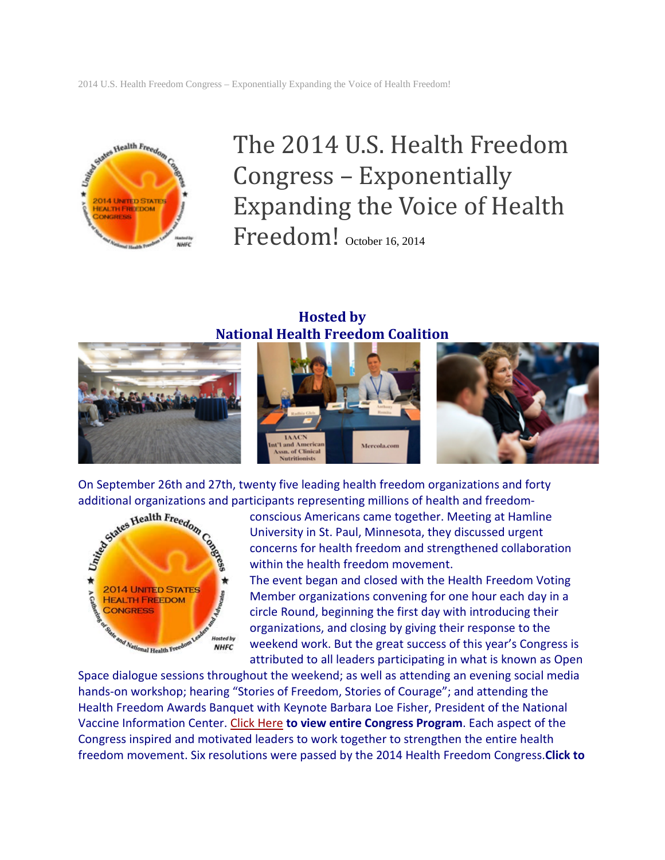

# The 2014 U.S. Health Freedom Congress – Exponentially Expanding the Voice of Health Freedom! October 16, 2014

#### **Hosted by National Health Freedom Coalition**



additional organizations and participants representing millions of health and freedom-



On September 26th and 27th, twenty five leading health freedom organizations and forty<br>additional organizations and participants representing millions of health and freedom<br>conscious Americans came together. Meeting at Ham conscious Americans came together. Meeting at Hamline University in St. Paul, Minnesota, they discussed urgent concerns for health freedom and strengthened collaboration within the health freedom movement.

The event began and closed with the Health Freedom Voting Member organizations convening for one hour each day in a circle Round, beginning the first day with introducing their organizations, and closing by giving their response to the weekend work. But the great success of this year's Congress is attributed to all leaders participating in what is known as Open

Space dialogue sessions throughout the weekend; as well as attending an evening social media hands-on workshop; hearing "Stories of Freedom, Stories of Courage"; and attending the Health Freedom Awards Banquet with Keynote Barbara Loe Fisher, President of the National Vaccine Information Center. [Click Here](https://nationalhealthfreedom.org/wp-content/uploads/2015/09/2014HFC_Program_FINAL_v1_inorder.pdf) **to view entire Congress Program**. Each aspect of the Congress inspired and motivated leaders to work together to strengthen the entire health freedom movement. Six resolutions were passed by the 2014 Health Freedom Congress.**Click to**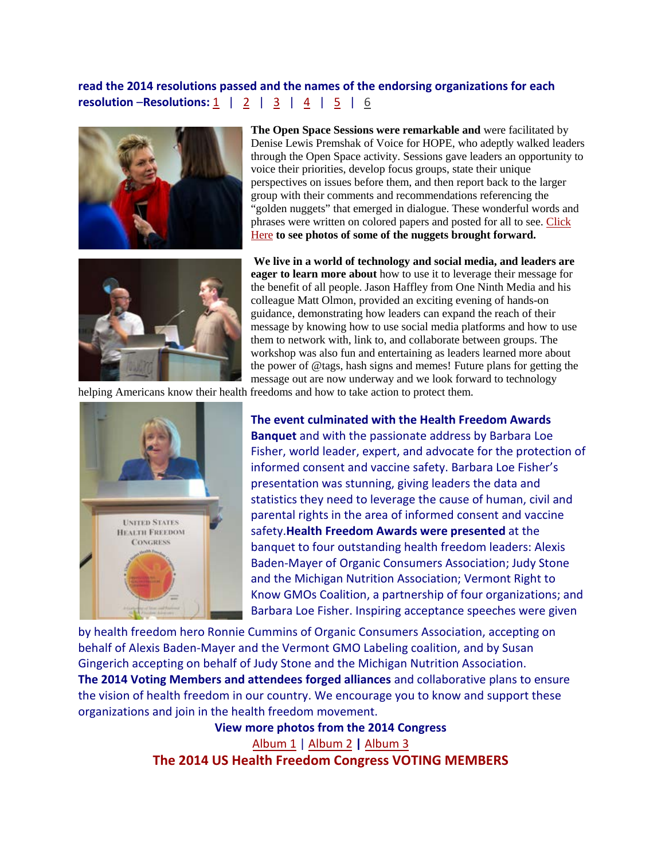**read the 2014 resolutions passed and the names of the endorsing organizations for each resolution** –**Resolutions:** [1](https://nationalhealthfreedom.org/nhfa/wp-content/uploads/sites/5/2015/08/Resolution1_HFP_supportingOrgs.pdf)|[2](https://nationalhealthfreedom.org/nhfa/wp-content/uploads/sites/5/2015/08/Resolution2_BanMercurySupportingOrgs.pdf)|[3](https://nationalhealthfreedom.org/nhfa/wp-content/uploads/sites/5/2015/08/Resolution3_RetractionSupportingOrgs.pdf)|[4](https://nationalhealthfreedom.org/nhfa/wp-content/uploads/sites/5/2015/08/Resolution4_FreeSpeechSupportingOrgs.pdf)|[5](https://nationalhealthfreedom.org/nhfa/wp-content/uploads/sites/5/2015/08/Resolution5_GeoengineeringSupportingOrgs.pdf)|[6](https://nationalhealthfreedom.org/nhfa/wp-content/uploads/sites/5/2015/08/Resolution6_FoodFreedomsSupportingOrgs.pdf)



Denise Lewis Premshak of Voice for HOPE, who adeptly walked leaders through the Open Space activity. Sessions gave leaders an opportunity to voice their priorities, develop focus groups, state their unique perspectives on issues before them, and then report back to the larger group with their comments and recommendations referencing the "golden nuggets" that emerged in dialogue. These wonderful words and phrases were written on colored papers and posted for all to see. [Click](http://share.shutterfly.com/share/received/welcome.sfly?fid=e59938c254d8ffca&sid=0AbN27Zk3bM2jEOA)  [Here](http://share.shutterfly.com/share/received/welcome.sfly?fid=e59938c254d8ffca&sid=0AbN27Zk3bM2jEOA) **to see photos of some of the nuggets brought forward.**

**The Open Space Sessions were remarkable and** were facilitated by



**We live in a world of technology and social media, and leaders are eager to learn more about** how to use it to leverage their message for the benefit of all people. Jason Haffley from One Ninth Media and his colleague Matt Olmon, provided an exciting evening of hands-on guidance, demonstrating how leaders can expand the reach of their message by knowing how to use social media platforms and how to use them to network with, link to, and collaborate between groups. The workshop was also fun and entertaining as leaders learned more about the power of @tags, hash signs and memes! Future plans for getting the message out are now underway and we look forward to technology

helping Americans know their health freedoms and how to take action to protect them.



**The event culminated with the Health Freedom Awards Banquet** and with the passionate address by Barbara Loe Fisher, world leader, expert, and advocate for the protection of informed consent and vaccine safety. Barbara Loe Fisher's presentation was stunning, giving leaders the data and statistics they need to leverage the cause of human, civil and parental rights in the area of informed consent and vaccine safety.**Health Freedom Awards were presented** at the banquet to four outstanding health freedom leaders: Alexis Baden-Mayer of Organic Consumers Association; Judy Stone and the Michigan Nutrition Association; Vermont Right to Know GMOs Coalition, a partnership of four organizations; and Barbara Loe Fisher. Inspiring acceptance speeches were given

by health freedom hero Ronnie Cummins of Organic Consumers Association, accepting on behalf of Alexis Baden-Mayer and the Vermont GMO Labeling coalition, and by Susan Gingerich accepting on behalf of Judy Stone and the Michigan Nutrition Association. **The 2014 Voting Members and attendees forged alliances** and collaborative plans to ensure the vision of health freedom in our country. We encourage you to know and support these organizations and join in the health freedom movement.

> **View more photos from the 2014 Congress**  [Album 1](http://share.shutterfly.com/share/received/welcome.sfly?fid=faeaac924252bdeb&sid=0AbN27Zk3bM2jEGg) | [Album 2](http://share.shutterfly.com/share/received/welcome.sfly?fid=af7ddc4b3dd3f5a3&sid=0AbN27Zk3bM2jD4g) **|** [Album 3](http://share.shutterfly.com/share/received/welcome.sfly?fid=a9a2363f4e2e0734&sid=0AbN27Zk3bM2jDwA) **The 2014 US Health Freedom Congress VOTING MEMBERS**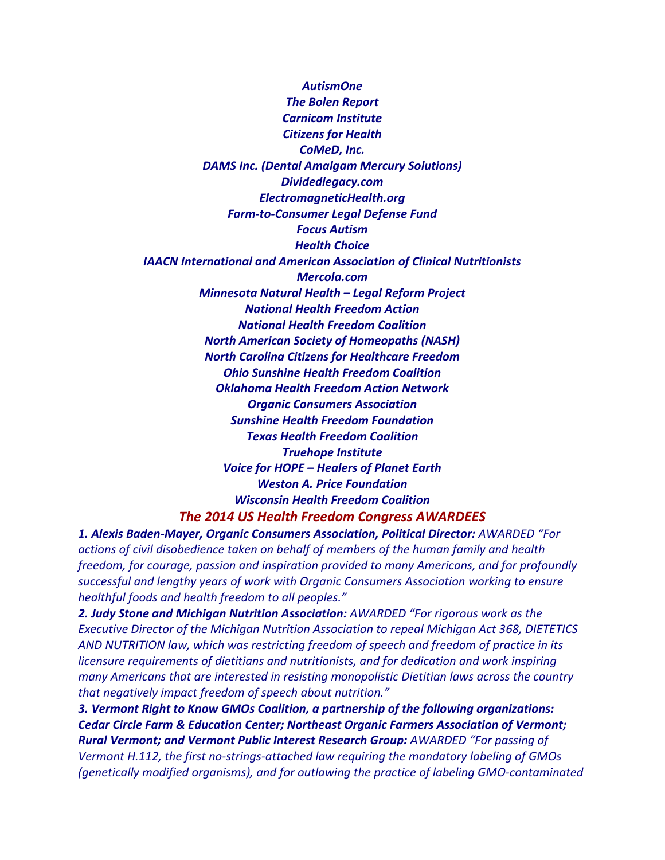*AutismOne The Bolen Report Carnicom Institute Citizens for Health CoMeD, Inc. DAMS Inc. (Dental Amalgam Mercury Solutions) Dividedlegacy.com ElectromagneticHealth.org Farm-to-Consumer Legal Defense Fund Focus Autism Health Choice IAACN International and American Association of Clinical Nutritionists Mercola.com Minnesota Natural Health – Legal Reform Project National Health Freedom Action National Health Freedom Coalition North American Society of Homeopaths (NASH) North Carolina Citizens for Healthcare Freedom Ohio Sunshine Health Freedom Coalition Oklahoma Health Freedom Action Network Organic Consumers Association Sunshine Health Freedom Foundation Texas Health Freedom Coalition Truehope Institute Voice for HOPE – Healers of Planet Earth Weston A. Price Foundation Wisconsin Health Freedom Coalition The 2014 US Health Freedom Congress AWARDEES*

*1. Alexis Baden-Mayer, Organic Consumers Association, Political Director: AWARDED "For actions of civil disobedience taken on behalf of members of the human family and health freedom, for courage, passion and inspiration provided to many Americans, and for profoundly successful and lengthy years of work with Organic Consumers Association working to ensure healthful foods and health freedom to all peoples."*

*2. Judy Stone and Michigan Nutrition Association: AWARDED "For rigorous work as the Executive Director of the Michigan Nutrition Association to repeal Michigan Act 368, DIETETICS AND NUTRITION law, which was restricting freedom of speech and freedom of practice in its licensure requirements of dietitians and nutritionists, and for dedication and work inspiring many Americans that are interested in resisting monopolistic Dietitian laws across the country that negatively impact freedom of speech about nutrition."*

*3. Vermont Right to Know GMOs Coalition, a partnership of the following organizations: Cedar Circle Farm & Education Center; Northeast Organic Farmers Association of Vermont; Rural Vermont; and Vermont Public Interest Research Group: AWARDED "For passing of*

*Vermont H.112, the first no-strings-attached law requiring the mandatory labeling of GMOs (genetically modified organisms), and for outlawing the practice of labeling GMO-contaminated*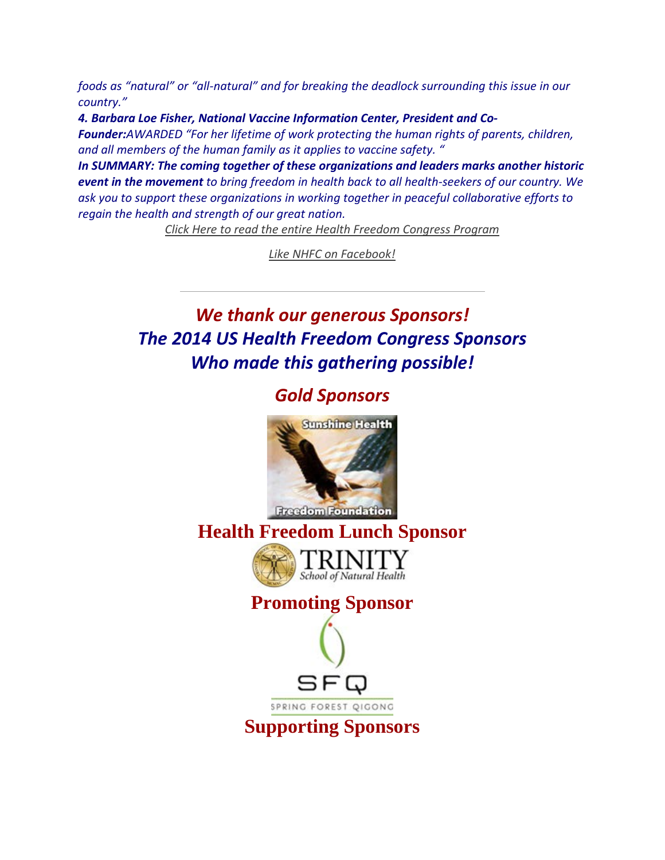*foods as "natural" or "all-natural" and for breaking the deadlock surrounding this issue in our country."*

*4. Barbara Loe Fisher, National Vaccine Information Center, President and Co-*

*Founder:AWARDED "For her lifetime of work protecting the human rights of parents, children, and all members of the human family as it applies to vaccine safety. "*

*In SUMMARY: The coming together of these organizations and leaders marks another historic event in the movement to bring freedom in health back to all health-seekers of our country. We ask you to support these organizations in working together in peaceful collaborative efforts to regain the health and strength of our great nation.*

*[Click Here to read the entire Health Freedom Congress Program](https://nationalhealthfreedom.org/wp-content/uploads/2015/09/2014HFC_Program_FINAL_v1_inorder.pdf)*

*[Like NHFC on Facebook!](https://www.facebook.com/NationalHealthFreedomCoalition?ref=hl)*

## *We thank our generous Sponsors! The 2014 US Health Freedom Congress Sponsors Who made this gathering possible!*

#### *Gold Sponsors*



**Healt[h Freedom Lunch Sp](https://nationalhealthfreedom.org/nhfa/wp-content/uploads/sites/5/2015/08/Trinity-logo.jpg)onsor**







**Supporting Sponsors**